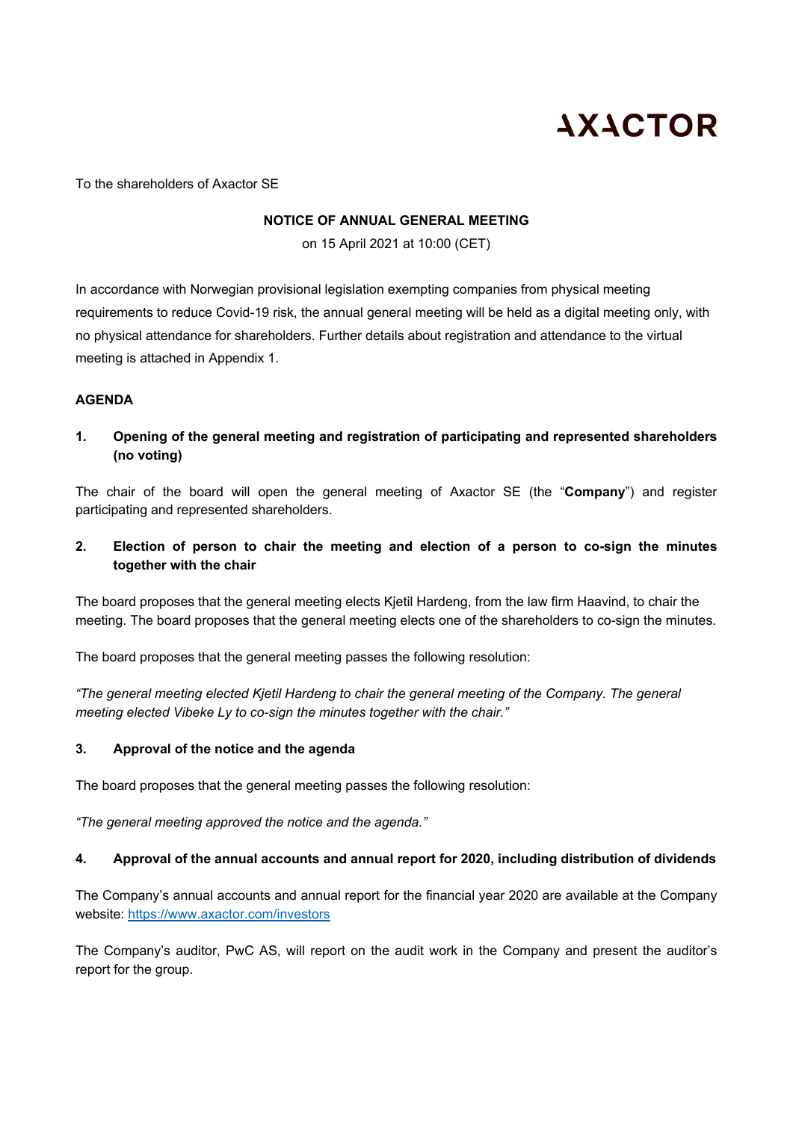# **AXACTOR**

To the shareholders of Axactor SE

## **NOTICE OF ANNUAL GENERAL MEETING**

on 15 April 2021 at 10:00 (CET)

In accordance with Norwegian provisional legislation exempting companies from physical meeting requirements to reduce Covid-19 risk, the annual general meeting will be held as a digital meeting only, with no physical attendance for shareholders. Further details about registration and attendance to the virtual meeting is attached in Appendix 1.

# **AGENDA**

**1. Opening of the general meeting and registration of participating and represented shareholders (no voting)** 

The chair of the board will open the general meeting of Axactor SE (the "**Company**") and register participating and represented shareholders.

**2. Election of person to chair the meeting and election of a person to co-sign the minutes together with the chair** 

The board proposes that the general meeting elects Kjetil Hardeng, from the law firm Haavind, to chair the meeting. The board proposes that the general meeting elects one of the shareholders to co-sign the minutes.

The board proposes that the general meeting passes the following resolution:

*"The general meeting elected Kjetil Hardeng to chair the general meeting of the Company. The general meeting elected Vibeke Ly to co-sign the minutes together with the chair."* 

# **3. Approval of the notice and the agenda**

The board proposes that the general meeting passes the following resolution:

*"The general meeting approved the notice and the agenda."* 

# **4. Approval of the annual accounts and annual report for 2020, including distribution of dividends**

The Company's annual accounts and annual report for the financial year 2020 are available at the Company website: https://www.axactor.com/investors

The Company's auditor, PwC AS, will report on the audit work in the Company and present the auditor's report for the group.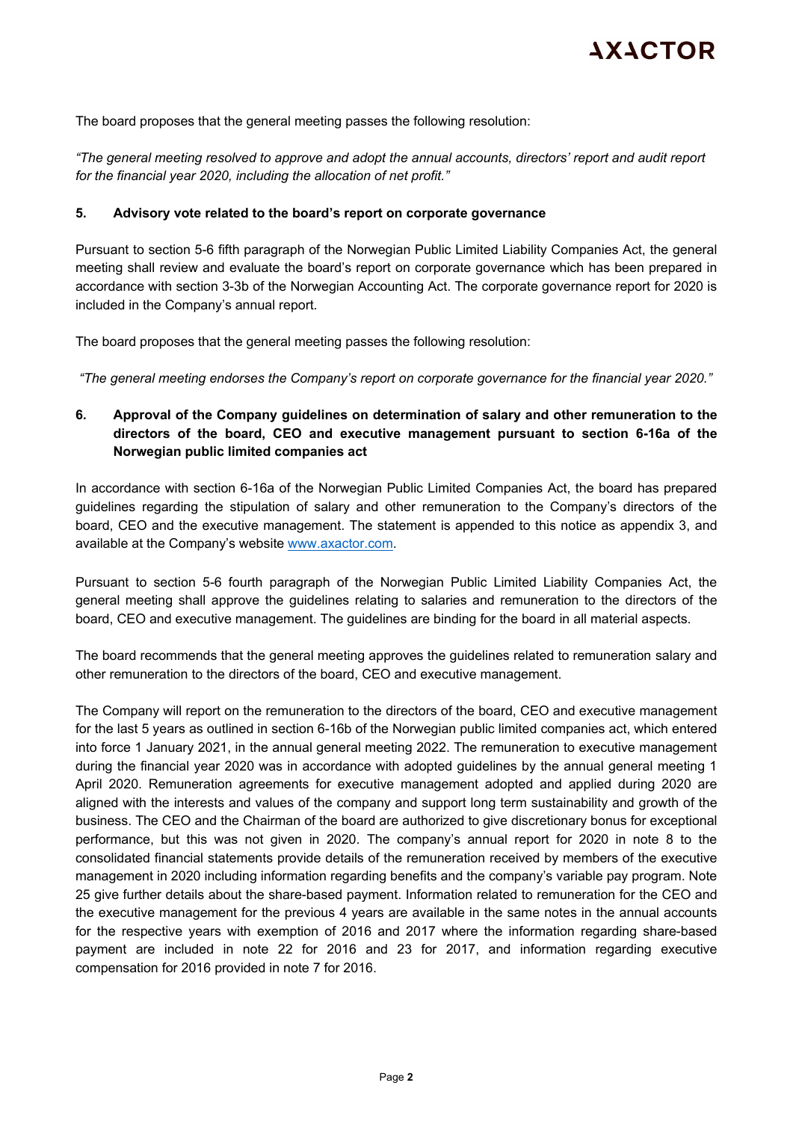The board proposes that the general meeting passes the following resolution:

*"The general meeting resolved to approve and adopt the annual accounts, directors' report and audit report for the financial year 2020, including the allocation of net profit."*

#### **5. Advisory vote related to the board's report on corporate governance**

Pursuant to section 5-6 fifth paragraph of the Norwegian Public Limited Liability Companies Act, the general meeting shall review and evaluate the board's report on corporate governance which has been prepared in accordance with section 3-3b of the Norwegian Accounting Act. The corporate governance report for 2020 is included in the Company's annual report.

The board proposes that the general meeting passes the following resolution:

 *"The general meeting endorses the Company's report on corporate governance for the financial year 2020."* 

# **6. Approval of the Company guidelines on determination of salary and other remuneration to the directors of the board, CEO and executive management pursuant to section 6-16a of the Norwegian public limited companies act**

In accordance with section 6-16a of the Norwegian Public Limited Companies Act, the board has prepared guidelines regarding the stipulation of salary and other remuneration to the Company's directors of the board, CEO and the executive management. The statement is appended to this notice as appendix 3, and available at the Company's website www.axactor.com.

Pursuant to section 5-6 fourth paragraph of the Norwegian Public Limited Liability Companies Act, the general meeting shall approve the guidelines relating to salaries and remuneration to the directors of the board, CEO and executive management. The guidelines are binding for the board in all material aspects.

The board recommends that the general meeting approves the guidelines related to remuneration salary and other remuneration to the directors of the board, CEO and executive management.

The Company will report on the remuneration to the directors of the board, CEO and executive management for the last 5 years as outlined in section 6-16b of the Norwegian public limited companies act, which entered into force 1 January 2021, in the annual general meeting 2022. The remuneration to executive management during the financial year 2020 was in accordance with adopted guidelines by the annual general meeting 1 April 2020. Remuneration agreements for executive management adopted and applied during 2020 are aligned with the interests and values of the company and support long term sustainability and growth of the business. The CEO and the Chairman of the board are authorized to give discretionary bonus for exceptional performance, but this was not given in 2020. The company's annual report for 2020 in note 8 to the consolidated financial statements provide details of the remuneration received by members of the executive management in 2020 including information regarding benefits and the company's variable pay program. Note 25 give further details about the share-based payment. Information related to remuneration for the CEO and the executive management for the previous 4 years are available in the same notes in the annual accounts for the respective years with exemption of 2016 and 2017 where the information regarding share-based payment are included in note 22 for 2016 and 23 for 2017, and information regarding executive compensation for 2016 provided in note 7 for 2016.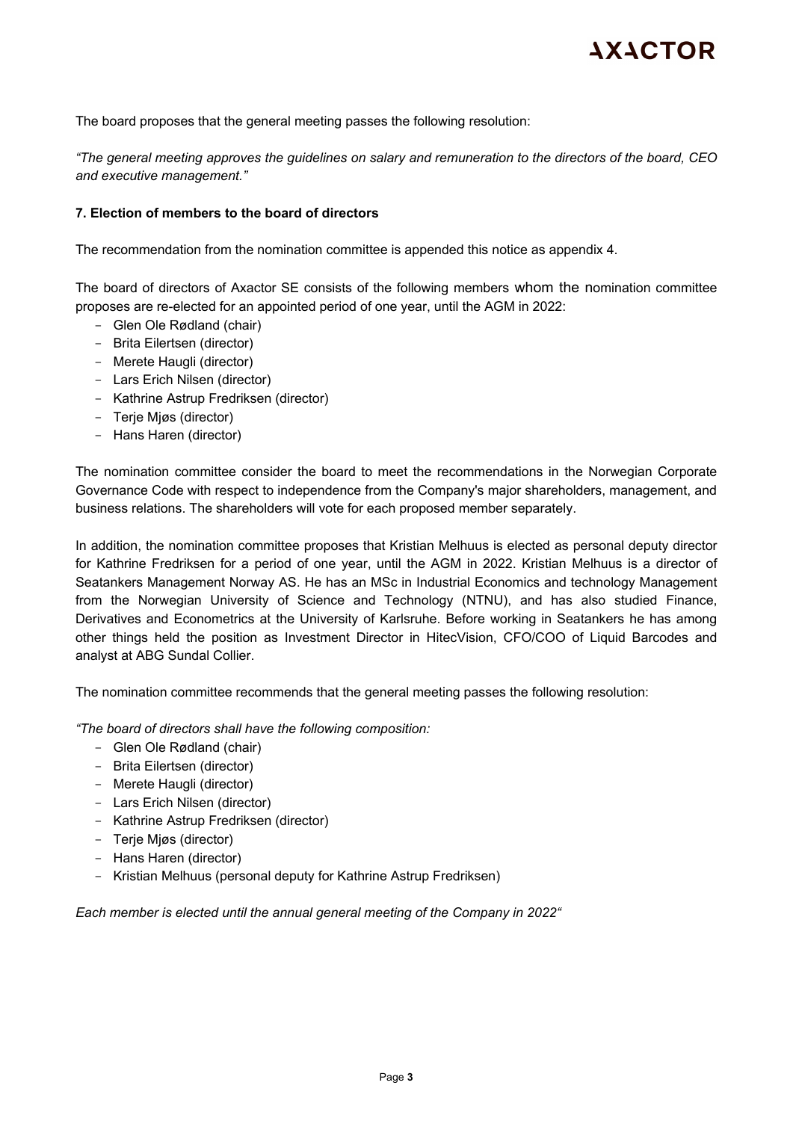The board proposes that the general meeting passes the following resolution:

*"The general meeting approves the guidelines on salary and remuneration to the directors of the board, CEO and executive management."* 

#### **7. Election of members to the board of directors**

The recommendation from the nomination committee is appended this notice as appendix 4.

The board of directors of Axactor SE consists of the following members whom the nomination committee proposes are re-elected for an appointed period of one year, until the AGM in 2022:

- Glen Ole Rødland (chair)
- Brita Eilertsen (director)
- Merete Haugli (director)
- Lars Erich Nilsen (director)
- Kathrine Astrup Fredriksen (director)
- Terje Mjøs (director)
- Hans Haren (director)

The nomination committee consider the board to meet the recommendations in the Norwegian Corporate Governance Code with respect to independence from the Company's major shareholders, management, and business relations. The shareholders will vote for each proposed member separately.

In addition, the nomination committee proposes that Kristian Melhuus is elected as personal deputy director for Kathrine Fredriksen for a period of one year, until the AGM in 2022. Kristian Melhuus is a director of Seatankers Management Norway AS. He has an MSc in Industrial Economics and technology Management from the Norwegian University of Science and Technology (NTNU), and has also studied Finance, Derivatives and Econometrics at the University of Karlsruhe. Before working in Seatankers he has among other things held the position as Investment Director in HitecVision, CFO/COO of Liquid Barcodes and analyst at ABG Sundal Collier.

The nomination committee recommends that the general meeting passes the following resolution:

*"The board of directors shall have the following composition:* 

- Glen Ole Rødland (chair)
- Brita Eilertsen (director)
- Merete Haugli (director)
- Lars Erich Nilsen (director)
- Kathrine Astrup Fredriksen (director)
- Terje Mjøs (director)
- Hans Haren (director)
- Kristian Melhuus (personal deputy for Kathrine Astrup Fredriksen)

*Each member is elected until the annual general meeting of the Company in 2022"*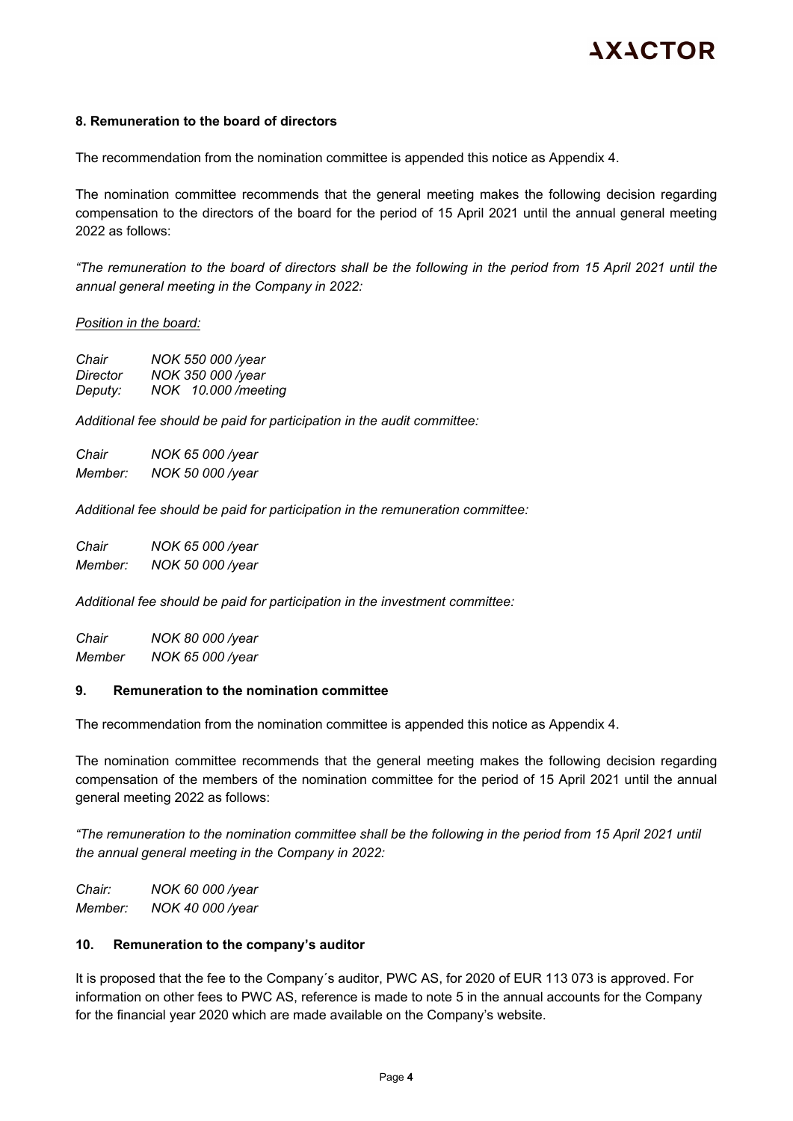## **8. Remuneration to the board of directors**

The recommendation from the nomination committee is appended this notice as Appendix 4.

The nomination committee recommends that the general meeting makes the following decision regarding compensation to the directors of the board for the period of 15 April 2021 until the annual general meeting 2022 as follows:

*"The remuneration to the board of directors shall be the following in the period from 15 April 2021 until the annual general meeting in the Company in 2022:* 

#### *Position in the board:*

| Chair    | NOK 550 000 /year  |
|----------|--------------------|
| Director | NOK 350 000 /year  |
| Deputy:  | NOK 10.000/meeting |

*Additional fee should be paid for participation in the audit committee:* 

*Chair NOK 65 000 /year Member: NOK 50 000 /year* 

*Additional fee should be paid for participation in the remuneration committee:* 

*Chair NOK 65 000 /year Member: NOK 50 000 /year* 

*Additional fee should be paid for participation in the investment committee:* 

*Chair NOK 80 000 /year Member NOK 65 000 /year* 

#### **9. Remuneration to the nomination committee**

The recommendation from the nomination committee is appended this notice as Appendix 4.

The nomination committee recommends that the general meeting makes the following decision regarding compensation of the members of the nomination committee for the period of 15 April 2021 until the annual general meeting 2022 as follows:

*"The remuneration to the nomination committee shall be the following in the period from 15 April 2021 until the annual general meeting in the Company in 2022:*

*Chair: NOK 60 000 /year Member: NOK 40 000 /year* 

#### **10. Remuneration to the company's auditor**

It is proposed that the fee to the Company´s auditor, PWC AS, for 2020 of EUR 113 073 is approved. For information on other fees to PWC AS, reference is made to note 5 in the annual accounts for the Company for the financial year 2020 which are made available on the Company's website.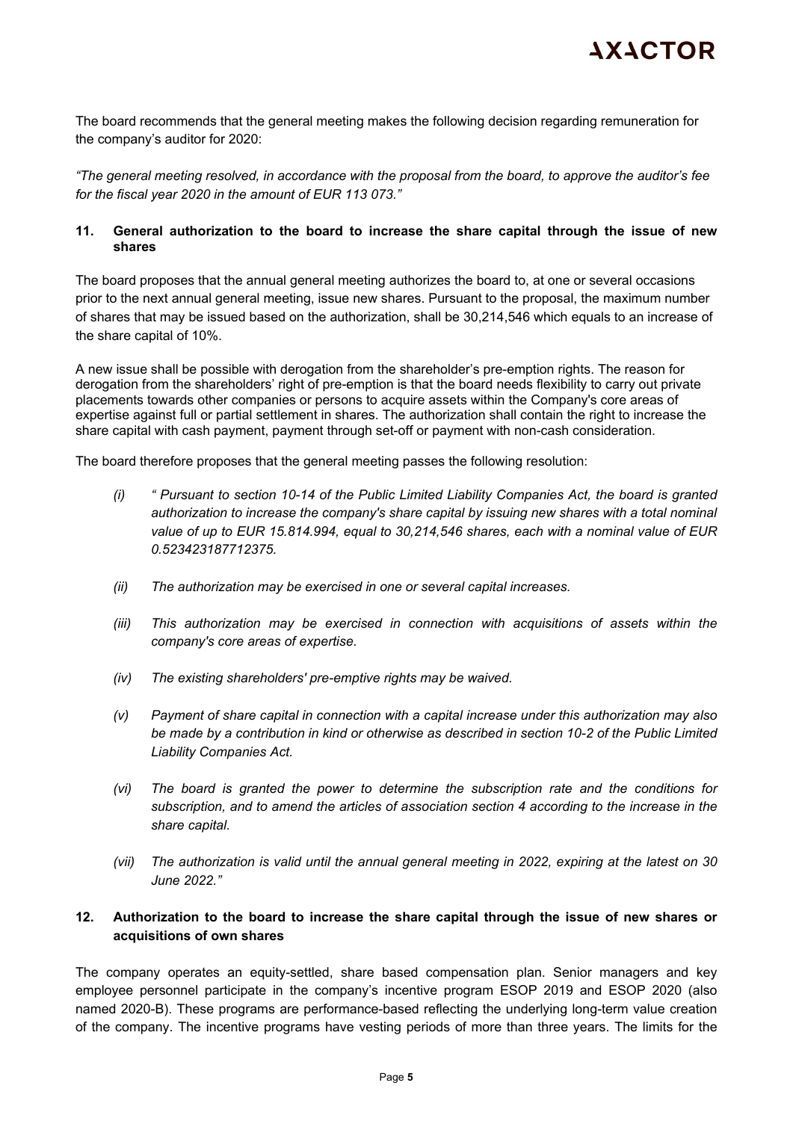The board recommends that the general meeting makes the following decision regarding remuneration for the company's auditor for 2020:

*"The general meeting resolved, in accordance with the proposal from the board, to approve the auditor's fee for the fiscal year 2020 in the amount of EUR 113 073."* 

# **11. General authorization to the board to increase the share capital through the issue of new shares**

The board proposes that the annual general meeting authorizes the board to, at one or several occasions prior to the next annual general meeting, issue new shares. Pursuant to the proposal, the maximum number of shares that may be issued based on the authorization, shall be 30,214,546 which equals to an increase of the share capital of 10%.

A new issue shall be possible with derogation from the shareholder's pre-emption rights. The reason for derogation from the shareholders' right of pre-emption is that the board needs flexibility to carry out private placements towards other companies or persons to acquire assets within the Company's core areas of expertise against full or partial settlement in shares. The authorization shall contain the right to increase the share capital with cash payment, payment through set-off or payment with non-cash consideration.

The board therefore proposes that the general meeting passes the following resolution:

- *(i) " Pursuant to section 10-14 of the Public Limited Liability Companies Act, the board is granted authorization to increase the company's share capital by issuing new shares with a total nominal value of up to EUR 15.814.994, equal to 30,214,546 shares, each with a nominal value of EUR 0.523423187712375.*
- *(ii) The authorization may be exercised in one or several capital increases.*
- *(iii) This authorization may be exercised in connection with acquisitions of assets within the company's core areas of expertise.*
- *(iv) The existing shareholders' pre-emptive rights may be waived.*
- *(v) Payment of share capital in connection with a capital increase under this authorization may also be made by a contribution in kind or otherwise as described in section 10-2 of the Public Limited Liability Companies Act.*
- *(vi) The board is granted the power to determine the subscription rate and the conditions for subscription, and to amend the articles of association section 4 according to the increase in the share capital.*
- *(vii) The authorization is valid until the annual general meeting in 2022, expiring at the latest on 30 June 2022."*

# **12. Authorization to the board to increase the share capital through the issue of new shares or acquisitions of own shares**

The company operates an equity-settled, share based compensation plan. Senior managers and key employee personnel participate in the company's incentive program ESOP 2019 and ESOP 2020 (also named 2020-B). These programs are performance-based reflecting the underlying long-term value creation of the company. The incentive programs have vesting periods of more than three years. The limits for the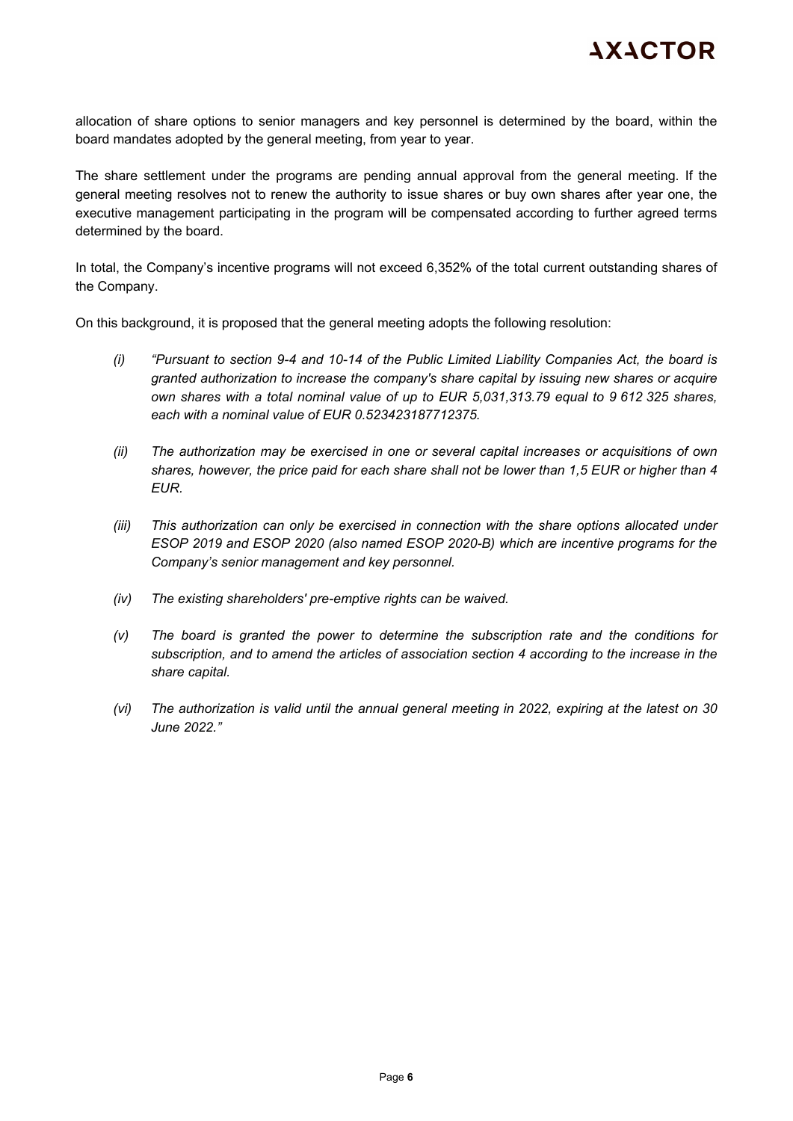allocation of share options to senior managers and key personnel is determined by the board, within the board mandates adopted by the general meeting, from year to year.

The share settlement under the programs are pending annual approval from the general meeting. If the general meeting resolves not to renew the authority to issue shares or buy own shares after year one, the executive management participating in the program will be compensated according to further agreed terms determined by the board.

In total, the Company's incentive programs will not exceed 6,352% of the total current outstanding shares of the Company.

On this background, it is proposed that the general meeting adopts the following resolution:

- *(i) "Pursuant to section 9-4 and 10-14 of the Public Limited Liability Companies Act, the board is granted authorization to increase the company's share capital by issuing new shares or acquire own shares with a total nominal value of up to EUR 5,031,313.79 equal to 9 612 325 shares, each with a nominal value of EUR 0.523423187712375.*
- *(ii) The authorization may be exercised in one or several capital increases or acquisitions of own shares, however, the price paid for each share shall not be lower than 1,5 EUR or higher than 4 EUR.*
- *(iii)* This authorization can only be exercised in connection with the share options allocated under *ESOP 2019 and ESOP 2020 (also named ESOP 2020-B) which are incentive programs for the Company's senior management and key personnel.*
- *(iv) The existing shareholders' pre-emptive rights can be waived.*
- *(v) The board is granted the power to determine the subscription rate and the conditions for subscription, and to amend the articles of association section 4 according to the increase in the share capital.*
- *(vi) The authorization is valid until the annual general meeting in 2022, expiring at the latest on 30 June 2022."*